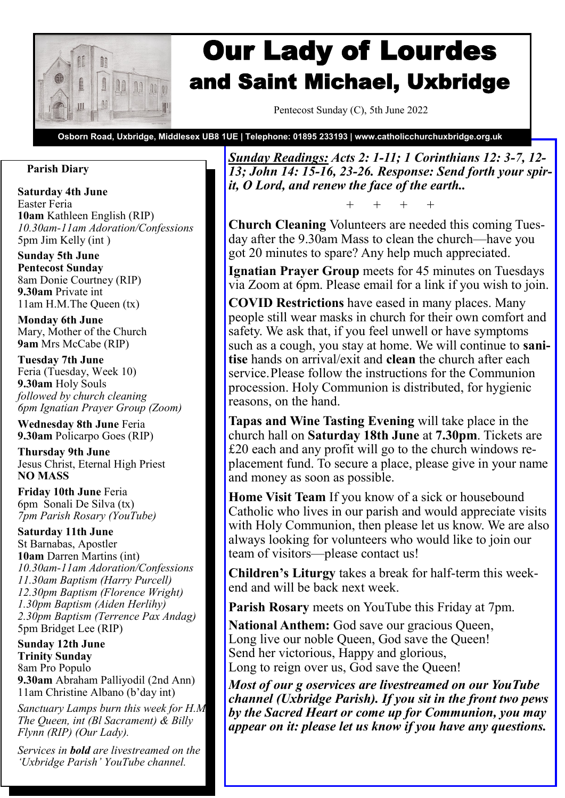

# Our Lady of Lourdes and Saint Michael, Uxbridge

Pentecost Sunday (C), 5th June 2022

**Osborn Road, Uxbridge, Middlesex UB8 1UE | Telephone: 01895 233193 | www.catholicchurchuxbridge.org.uk**

## **Parish Diary**

**Saturday 4th June**  Easter Feria **10am** Kathleen English (RIP) *10.30am-11am Adoration/Confessions* 5pm Jim Kelly (int )

**Sunday 5th June Pentecost Sunday** 8am Donie Courtney (RIP) **9.30am** Private int 11am H.M.The Queen (tx)

**Monday 6th June**  Mary, Mother of the Church **9am** Mrs McCabe (RIP)

**Tuesday 7th June**  Feria (Tuesday, Week 10) **9.30am** Holy Souls *followed by church cleaning 6pm Ignatian Prayer Group (Zoom)*

**Wednesday 8th June** Feria **9.30am** Policarpo Goes (RIP)

**Thursday 9th June** Jesus Christ, Eternal High Priest **NO MASS**

**Friday 10th June** Feria 6pm Sonali De Silva (tx) *7pm Parish Rosary (YouTube)*

**Saturday 11th June**  St Barnabas, Apostler **10am** Darren Martins (int) *10.30am-11am Adoration/Confessions 11.30am Baptism (Harry Purcell) 12.30pm Baptism (Florence Wright) 1.30pm Baptism (Aiden Herlihy) 2.30pm Baptism (Terrence Pax Andag)* 5pm Bridget Lee (RIP)

**Sunday 12th June Trinity Sunday** 8am Pro Populo **9.30am** Abraham Palliyodil (2nd Ann) 11am Christine Albano (b'day int)

*Sanctuary Lamps burn this week for H.M. The Queen, int (Bl Sacrament) & Billy Flynn (RIP) (Our Lady).*

*Services in bold are livestreamed on the 'Uxbridge Parish' YouTube channel.*

*Sunday Readings: Acts 2: 1-11; 1 Corinthians 12: 3-7, 12- 13; John 14: 15-16, 23-26. Response: Send forth your spirit, O Lord, and renew the face of the earth..*

+ + + +

**Church Cleaning** Volunteers are needed this coming Tuesday after the 9.30am Mass to clean the church—have you got 20 minutes to spare? Any help much appreciated.

**Ignatian Prayer Group** meets for 45 minutes on Tuesdays via Zoom at 6pm. Please email for a link if you wish to join.

**COVID Restrictions** have eased in many places. Many people still wear masks in church for their own comfort and safety. We ask that, if you feel unwell or have symptoms such as a cough, you stay at home. We will continue to **sanitise** hands on arrival/exit and **clean** the church after each service.Please follow the instructions for the Communion procession. Holy Communion is distributed, for hygienic reasons, on the hand.

**Tapas and Wine Tasting Evening** will take place in the church hall on **Saturday 18th June** at **7.30pm**. Tickets are £20 each and any profit will go to the church windows replacement fund. To secure a place, please give in your name and money as soon as possible.

**Home Visit Team** If you know of a sick or housebound Catholic who lives in our parish and would appreciate visits with Holy Communion, then please let us know. We are also always looking for volunteers who would like to join our team of visitors—please contact us!

**Children's Liturgy** takes a break for half-term this weekend and will be back next week.

**Parish Rosary** meets on YouTube this Friday at 7pm.

**National Anthem:** God save our gracious Queen, Long live our noble Queen, God save the Queen! Send her victorious, Happy and glorious, Long to reign over us, God save the Queen!

*Most of our g oservices are livestreamed on our YouTube channel (Uxbridge Parish). If you sit in the front two pews by the Sacred Heart or come up for Communion, you may appear on it: please let us know if you have any questions.*